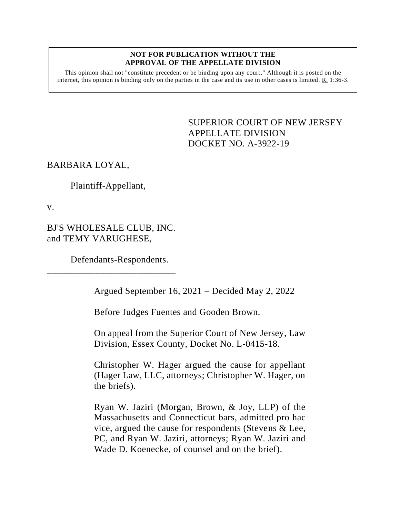#### **NOT FOR PUBLICATION WITHOUT THE APPROVAL OF THE APPELLATE DIVISION**

This opinion shall not "constitute precedent or be binding upon any court." Although it is posted on the internet, this opinion is binding only on the parties in the case and its use in other cases is limited.  $R_1$  1:36-3.

> <span id="page-0-0"></span>SUPERIOR COURT OF NEW JERSEY APPELLATE DIVISION DOCKET NO. A-3922-19

## BARBARA LOYAL,

## Plaintiff-Appellant,

v.

BJ'S WHOLESALE CLUB, INC. and TEMY VARUGHESE,

\_\_\_\_\_\_\_\_\_\_\_\_\_\_\_\_\_\_\_\_\_\_\_\_\_\_\_

Defendants-Respondents.

Argued September 16, 2021 – Decided May 2, 2022

Before Judges Fuentes and Gooden Brown.

On appeal from the Superior Court of New Jersey, Law Division, Essex County, Docket No. L-0415-18.

Christopher W. Hager argued the cause for appellant (Hager Law, LLC, attorneys; Christopher W. Hager, on the briefs).

Ryan W. Jaziri (Morgan, Brown, & Joy, LLP) of the Massachusetts and Connecticut bars, admitted pro hac vice, argued the cause for respondents (Stevens & Lee, PC, and Ryan W. Jaziri, attorneys; Ryan W. Jaziri and Wade D. Koenecke, of counsel and on the brief).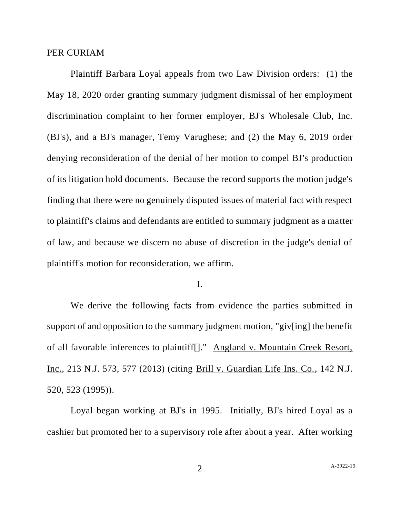#### PER CURIAM

Plaintiff Barbara Loyal appeals from two Law Division orders: (1) the May 18, 2020 order granting summary judgment dismissal of her employment discrimination complaint to her former employer, BJ's Wholesale Club, Inc. (BJ's), and a BJ's manager, Temy Varughese; and (2) the May 6, 2019 order denying reconsideration of the denial of her motion to compel BJ's production of its litigation hold documents. Because the record supports the motion judge's finding that there were no genuinely disputed issues of material fact with respect to plaintiff's claims and defendants are entitled to summary judgment as a matter of law, and because we discern no abuse of discretion in the judge's denial of plaintiff's motion for reconsideration, we affirm.

#### I.

We derive the following facts from evidence the parties submitted in support of and opposition to the summary judgment motion, "giv[ing] the benefit of all favorable inferences to plaintiff[]." Angland v. Mountain Creek Resort, Inc., 213 N.J. 573, 577 (2013) (citing Brill v. Guardian Life Ins. Co., 142 N.J. 520, 523 (1995)).

Loyal began working at BJ's in 1995. Initially, BJ's hired Loyal as a cashier but promoted her to a supervisory role after about a year. After working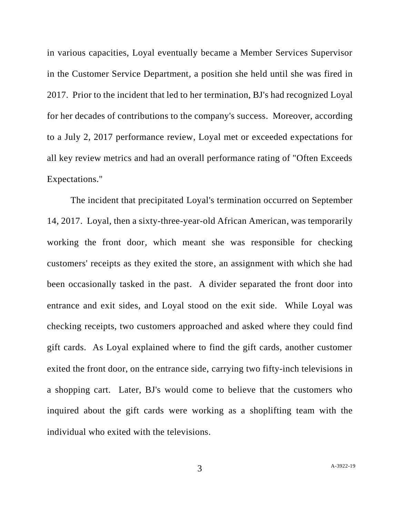in various capacities, Loyal eventually became a Member Services Supervisor in the Customer Service Department, a position she held until she was fired in 2017. Prior to the incident that led to her termination, BJ's had recognized Loyal for her decades of contributions to the company's success. Moreover, according to a July 2, 2017 performance review, Loyal met or exceeded expectations for all key review metrics and had an overall performance rating of "Often Exceeds Expectations."

The incident that precipitated Loyal's termination occurred on September 14, 2017. Loyal, then a sixty-three-year-old African American, was temporarily working the front door, which meant she was responsible for checking customers' receipts as they exited the store, an assignment with which she had been occasionally tasked in the past. A divider separated the front door into entrance and exit sides, and Loyal stood on the exit side. While Loyal was checking receipts, two customers approached and asked where they could find gift cards. As Loyal explained where to find the gift cards, another customer exited the front door, on the entrance side, carrying two fifty-inch televisions in a shopping cart. Later, BJ's would come to believe that the customers who inquired about the gift cards were working as a shoplifting team with the individual who exited with the televisions.

3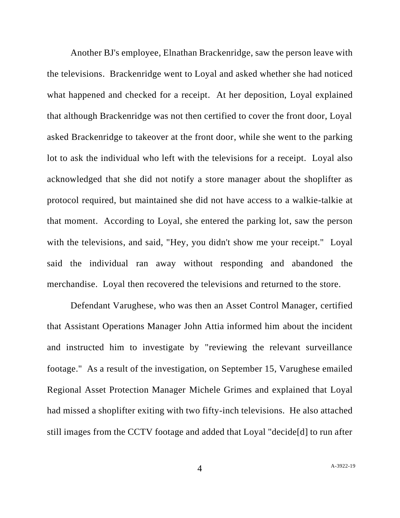Another BJ's employee, Elnathan Brackenridge, saw the person leave with the televisions. Brackenridge went to Loyal and asked whether she had noticed what happened and checked for a receipt. At her deposition, Loyal explained that although Brackenridge was not then certified to cover the front door, Loyal asked Brackenridge to takeover at the front door, while she went to the parking lot to ask the individual who left with the televisions for a receipt. Loyal also acknowledged that she did not notify a store manager about the shoplifter as protocol required, but maintained she did not have access to a walkie-talkie at that moment. According to Loyal, she entered the parking lot, saw the person with the televisions, and said, "Hey, you didn't show me your receipt." Loyal said the individual ran away without responding and abandoned the merchandise. Loyal then recovered the televisions and returned to the store.

Defendant Varughese, who was then an Asset Control Manager, certified that Assistant Operations Manager John Attia informed him about the incident and instructed him to investigate by "reviewing the relevant surveillance footage." As a result of the investigation, on September 15, Varughese emailed Regional Asset Protection Manager Michele Grimes and explained that Loyal had missed a shoplifter exiting with two fifty-inch televisions. He also attached still images from the CCTV footage and added that Loyal "decide[d] to run after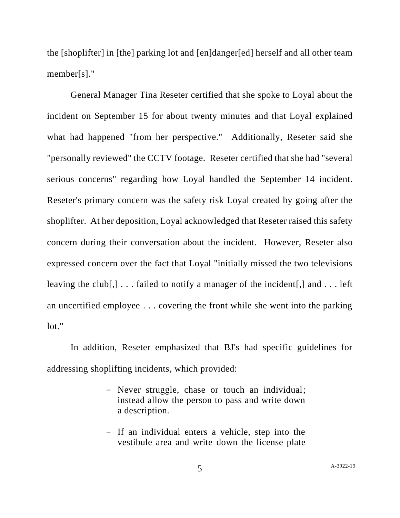the [shoplifter] in [the] parking lot and [en]danger[ed] herself and all other team member[s]."

General Manager Tina Reseter certified that she spoke to Loyal about the incident on September 15 for about twenty minutes and that Loyal explained what had happened "from her perspective." Additionally, Reseter said she "personally reviewed" the CCTV footage. Reseter certified that she had "several serious concerns" regarding how Loyal handled the September 14 incident. Reseter's primary concern was the safety risk Loyal created by going after the shoplifter. At her deposition, Loyal acknowledged that Reseter raised this safety concern during their conversation about the incident. However, Reseter also expressed concern over the fact that Loyal "initially missed the two televisions leaving the club[,]... failed to notify a manager of the incident[,] and  $\dots$  left an uncertified employee . . . covering the front while she went into the parking lot."

In addition, Reseter emphasized that BJ's had specific guidelines for addressing shoplifting incidents, which provided:

- Never struggle, chase or touch an individual; instead allow the person to pass and write down a description.
- If an individual enters a vehicle, step into the vestibule area and write down the license plate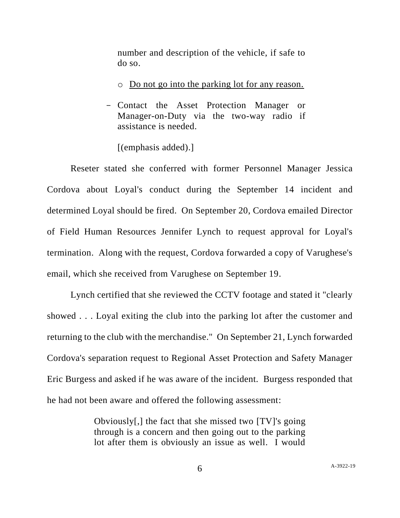number and description of the vehicle, if safe to do so.

- o Do not go into the parking lot for any reason.
- Contact the Asset Protection Manager or Manager-on-Duty via the two-way radio if assistance is needed.

[(emphasis added).]

Reseter stated she conferred with former Personnel Manager Jessica Cordova about Loyal's conduct during the September 14 incident and determined Loyal should be fired. On September 20, Cordova emailed Director of Field Human Resources Jennifer Lynch to request approval for Loyal's termination. Along with the request, Cordova forwarded a copy of Varughese's email, which she received from Varughese on September 19.

Lynch certified that she reviewed the CCTV footage and stated it "clearly showed . . . Loyal exiting the club into the parking lot after the customer and returning to the club with the merchandise." On September 21, Lynch forwarded Cordova's separation request to Regional Asset Protection and Safety Manager Eric Burgess and asked if he was aware of the incident. Burgess responded that he had not been aware and offered the following assessment:

> Obviously[,] the fact that she missed two [TV]'s going through is a concern and then going out to the parking lot after them is obviously an issue as well. I would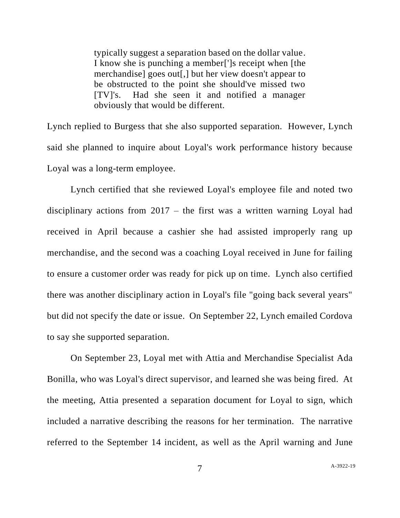typically suggest a separation based on the dollar value. I know she is punching a member[']s receipt when [the merchandise] goes out[,] but her view doesn't appear to be obstructed to the point she should've missed two [TV]'s. Had she seen it and notified a manager obviously that would be different.

Lynch replied to Burgess that she also supported separation. However, Lynch said she planned to inquire about Loyal's work performance history because Loyal was a long-term employee.

Lynch certified that she reviewed Loyal's employee file and noted two disciplinary actions from 2017 – the first was a written warning Loyal had received in April because a cashier she had assisted improperly rang up merchandise, and the second was a coaching Loyal received in June for failing to ensure a customer order was ready for pick up on time. Lynch also certified there was another disciplinary action in Loyal's file "going back several years" but did not specify the date or issue. On September 22, Lynch emailed Cordova to say she supported separation.

On September 23, Loyal met with Attia and Merchandise Specialist Ada Bonilla, who was Loyal's direct supervisor, and learned she was being fired. At the meeting, Attia presented a separation document for Loyal to sign, which included a narrative describing the reasons for her termination. The narrative referred to the September 14 incident, as well as the April warning and June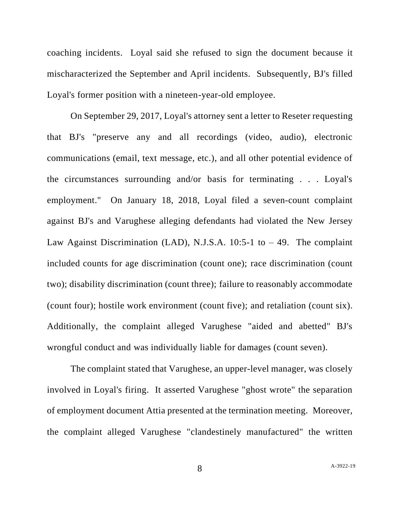coaching incidents. Loyal said she refused to sign the document because it mischaracterized the September and April incidents. Subsequently, BJ's filled Loyal's former position with a nineteen-year-old employee.

On September 29, 2017, Loyal's attorney sent a letter to Reseter requesting that BJ's "preserve any and all recordings (video, audio), electronic communications (email, text message, etc.), and all other potential evidence of the circumstances surrounding and/or basis for terminating . . . Loyal's employment." On January 18, 2018, Loyal filed a seven-count complaint against BJ's and Varughese alleging defendants had violated the New Jersey Law Against Discrimination (LAD), N.J.S.A.  $10:5-1$  to  $-49$ . The complaint included counts for age discrimination (count one); race discrimination (count two); disability discrimination (count three); failure to reasonably accommodate (count four); hostile work environment (count five); and retaliation (count six). Additionally, the complaint alleged Varughese "aided and abetted" BJ's wrongful conduct and was individually liable for damages (count seven).

The complaint stated that Varughese, an upper-level manager, was closely involved in Loyal's firing. It asserted Varughese "ghost wrote" the separation of employment document Attia presented at the termination meeting. Moreover, the complaint alleged Varughese "clandestinely manufactured" the written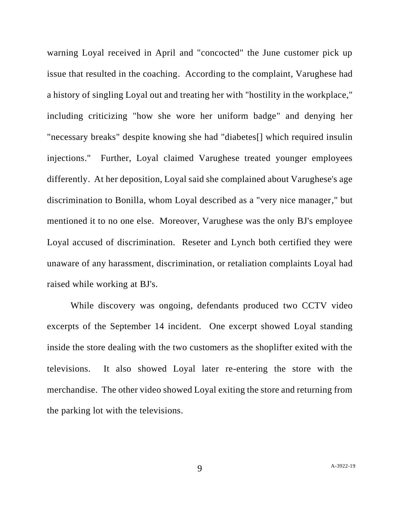warning Loyal received in April and "concocted" the June customer pick up issue that resulted in the coaching. According to the complaint, Varughese had a history of singling Loyal out and treating her with "hostility in the workplace," including criticizing "how she wore her uniform badge" and denying her "necessary breaks" despite knowing she had "diabetes[] which required insulin injections." Further, Loyal claimed Varughese treated younger employees differently. At her deposition, Loyal said she complained about Varughese's age discrimination to Bonilla, whom Loyal described as a "very nice manager," but mentioned it to no one else. Moreover, Varughese was the only BJ's employee Loyal accused of discrimination. Reseter and Lynch both certified they were unaware of any harassment, discrimination, or retaliation complaints Loyal had raised while working at BJ's.

While discovery was ongoing, defendants produced two CCTV video excerpts of the September 14 incident. One excerpt showed Loyal standing inside the store dealing with the two customers as the shoplifter exited with the televisions. It also showed Loyal later re-entering the store with the merchandise. The other video showed Loyal exiting the store and returning from the parking lot with the televisions.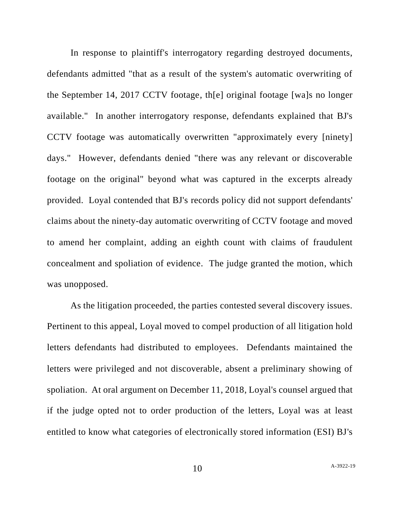In response to plaintiff's interrogatory regarding destroyed documents, defendants admitted "that as a result of the system's automatic overwriting of the September 14, 2017 CCTV footage, th[e] original footage [wa]s no longer available." In another interrogatory response, defendants explained that BJ's CCTV footage was automatically overwritten "approximately every [ninety] days." However, defendants denied "there was any relevant or discoverable footage on the original" beyond what was captured in the excerpts already provided. Loyal contended that BJ's records policy did not support defendants' claims about the ninety-day automatic overwriting of CCTV footage and moved to amend her complaint, adding an eighth count with claims of fraudulent concealment and spoliation of evidence. The judge granted the motion, which was unopposed.

As the litigation proceeded, the parties contested several discovery issues. Pertinent to this appeal, Loyal moved to compel production of all litigation hold letters defendants had distributed to employees. Defendants maintained the letters were privileged and not discoverable, absent a preliminary showing of spoliation. At oral argument on December 11, 2018, Loyal's counsel argued that if the judge opted not to order production of the letters, Loyal was at least entitled to know what categories of electronically stored information (ESI) BJ's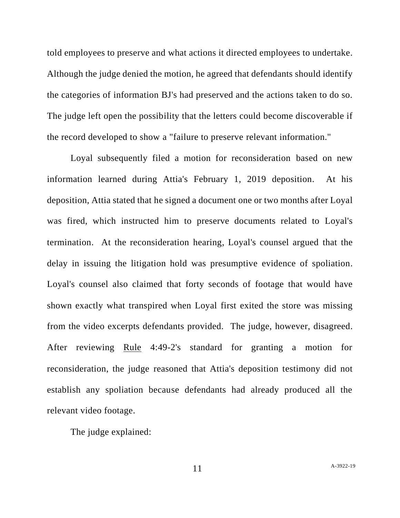told employees to preserve and what actions it directed employees to undertake. Although the judge denied the motion, he agreed that defendants should identify the categories of information BJ's had preserved and the actions taken to do so. The judge left open the possibility that the letters could become discoverable if the record developed to show a "failure to preserve relevant information."

Loyal subsequently filed a motion for reconsideration based on new information learned during Attia's February 1, 2019 deposition. At his deposition, Attia stated that he signed a document one or two months after Loyal was fired, which instructed him to preserve documents related to Loyal's termination. At the reconsideration hearing, Loyal's counsel argued that the delay in issuing the litigation hold was presumptive evidence of spoliation. Loyal's counsel also claimed that forty seconds of footage that would have shown exactly what transpired when Loyal first exited the store was missing from the video excerpts defendants provided. The judge, however, disagreed. After reviewing Rule 4:49-2's standard for granting a motion for reconsideration, the judge reasoned that Attia's deposition testimony did not establish any spoliation because defendants had already produced all the relevant video footage.

The judge explained: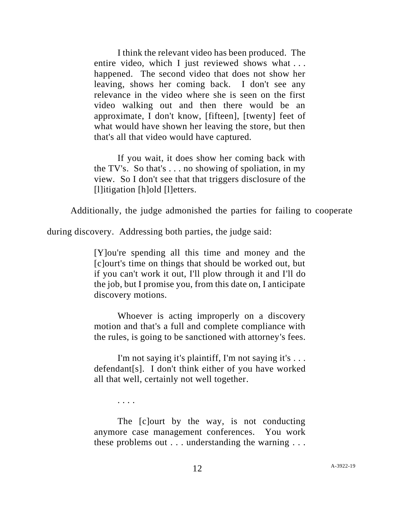I think the relevant video has been produced. The entire video, which I just reviewed shows what ... happened. The second video that does not show her leaving, shows her coming back. I don't see any relevance in the video where she is seen on the first video walking out and then there would be an approximate, I don't know, [fifteen], [twenty] feet of what would have shown her leaving the store, but then that's all that video would have captured.

If you wait, it does show her coming back with the TV's. So that's . . . no showing of spoliation, in my view. So I don't see that that triggers disclosure of the [l]itigation [h]old [l]etters.

Additionally, the judge admonished the parties for failing to cooperate

during discovery. Addressing both parties, the judge said:

[Y]ou're spending all this time and money and the [c]ourt's time on things that should be worked out, but if you can't work it out, I'll plow through it and I'll do the job, but I promise you, from this date on, I anticipate discovery motions.

Whoever is acting improperly on a discovery motion and that's a full and complete compliance with the rules, is going to be sanctioned with attorney's fees.

I'm not saying it's plaintiff, I'm not saying it's . . . defendant[s]. I don't think either of you have worked all that well, certainly not well together.

. . . .

The [c]ourt by the way, is not conducting anymore case management conferences. You work these problems out . . . understanding the warning . . .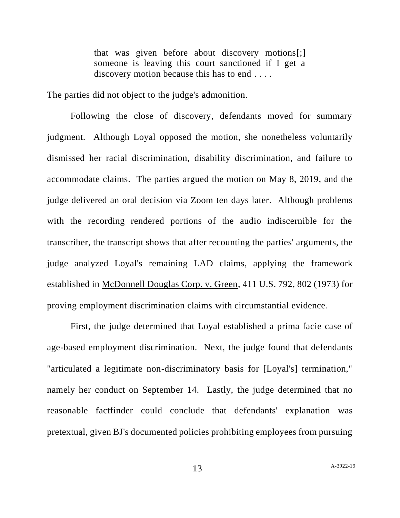that was given before about discovery motions[;] someone is leaving this court sanctioned if I get a discovery motion because this has to end . . . .

The parties did not object to the judge's admonition.

Following the close of discovery, defendants moved for summary judgment. Although Loyal opposed the motion, she nonetheless voluntarily dismissed her racial discrimination, disability discrimination, and failure to accommodate claims. The parties argued the motion on May 8, 2019, and the judge delivered an oral decision via Zoom ten days later. Although problems with the recording rendered portions of the audio indiscernible for the transcriber, the transcript shows that after recounting the parties' arguments, the judge analyzed Loyal's remaining LAD claims, applying the framework established in McDonnell Douglas Corp. v. Green, 411 U.S. 792, 802 (1973) for proving employment discrimination claims with circumstantial evidence.

First, the judge determined that Loyal established a prima facie case of age-based employment discrimination. Next, the judge found that defendants "articulated a legitimate non-discriminatory basis for [Loyal's] termination," namely her conduct on September 14. Lastly, the judge determined that no reasonable factfinder could conclude that defendants' explanation was pretextual, given BJ's documented policies prohibiting employees from pursuing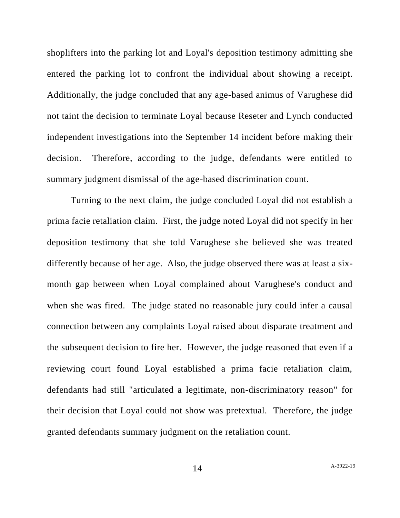shoplifters into the parking lot and Loyal's deposition testimony admitting she entered the parking lot to confront the individual about showing a receipt. Additionally, the judge concluded that any age-based animus of Varughese did not taint the decision to terminate Loyal because Reseter and Lynch conducted independent investigations into the September 14 incident before making their decision. Therefore, according to the judge, defendants were entitled to summary judgment dismissal of the age-based discrimination count.

Turning to the next claim, the judge concluded Loyal did not establish a prima facie retaliation claim. First, the judge noted Loyal did not specify in her deposition testimony that she told Varughese she believed she was treated differently because of her age. Also, the judge observed there was at least a sixmonth gap between when Loyal complained about Varughese's conduct and when she was fired. The judge stated no reasonable jury could infer a causal connection between any complaints Loyal raised about disparate treatment and the subsequent decision to fire her. However, the judge reasoned that even if a reviewing court found Loyal established a prima facie retaliation claim, defendants had still "articulated a legitimate, non-discriminatory reason" for their decision that Loyal could not show was pretextual. Therefore, the judge granted defendants summary judgment on the retaliation count.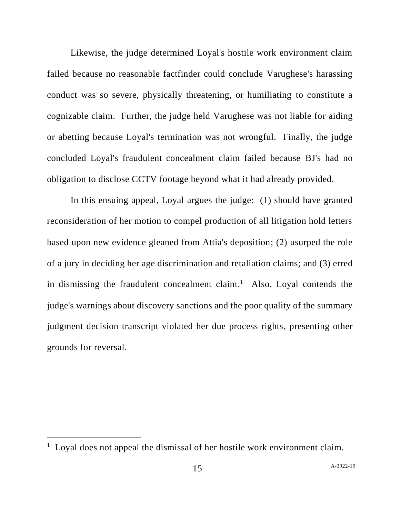Likewise, the judge determined Loyal's hostile work environment claim failed because no reasonable factfinder could conclude Varughese's harassing conduct was so severe, physically threatening, or humiliating to constitute a cognizable claim. Further, the judge held Varughese was not liable for aiding or abetting because Loyal's termination was not wrongful. Finally, the judge concluded Loyal's fraudulent concealment claim failed because BJ's had no obligation to disclose CCTV footage beyond what it had already provided.

In this ensuing appeal, Loyal argues the judge: (1) should have granted reconsideration of her motion to compel production of all litigation hold letters based upon new evidence gleaned from Attia's deposition; (2) usurped the role of a jury in deciding her age discrimination and retaliation claims; and (3) erred in dismissing the fraudulent concealment claim. 1 Also, Loyal contends the judge's warnings about discovery sanctions and the poor quality of the summary judgment decision transcript violated her due process rights, presenting other grounds for reversal.

<sup>&</sup>lt;sup>1</sup> Loyal does not appeal the dismissal of her hostile work environment claim.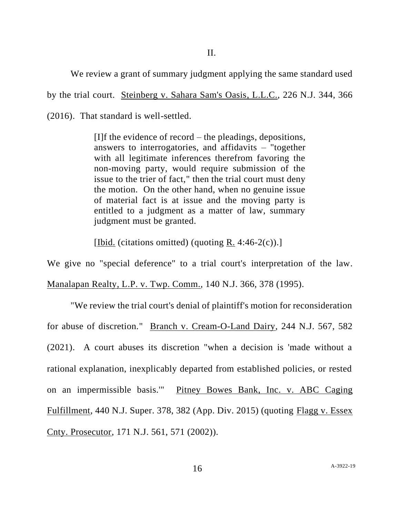We review a grant of summary judgment applying the same standard used

by the trial court. Steinberg v. Sahara Sam's Oasis, L.L.C., 226 N.J. 344, 366

(2016). That standard is well-settled.

[I]f the evidence of record – the pleadings, depositions, answers to interrogatories, and affidavits – "together with all legitimate inferences therefrom favoring the non-moving party, would require submission of the issue to the trier of fact," then the trial court must deny the motion. On the other hand, when no genuine issue of material fact is at issue and the moving party is entitled to a judgment as a matter of law, summary judgment must be granted.

[Ibid. (citations omitted) (quoting R. 4:46-2(c)).]

We give no "special deference" to a trial court's interpretation of the law.

Manalapan Realty, L.P. v. Twp. Comm., 140 N.J. 366, 378 (1995).

"We review the trial court's denial of plaintiff's motion for reconsideration for abuse of discretion." Branch v. Cream-O-Land Dairy, 244 N.J. 567, 582 (2021). A court abuses its discretion "when a decision is 'made without a rational explanation, inexplicably departed from established policies, or rested on an impermissible basis.'" Pitney Bowes Bank, Inc. v. ABC Caging Fulfillment, 440 N.J. Super. 378, 382 (App. Div. 2015) (quoting Flagg v. Essex Cnty. Prosecutor, 171 N.J. 561, 571 (2002)).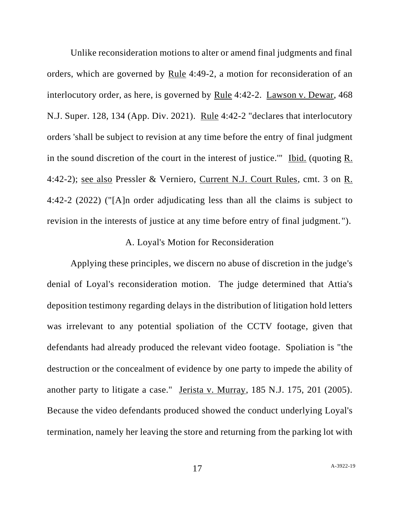Unlike reconsideration motions to alter or amend final judgments and final orders, which are governed by Rule 4:49-2, a motion for reconsideration of an interlocutory order, as here, is governed by Rule 4:42-2. Lawson v. Dewar, 468 N.J. Super. 128, 134 (App. Div. 2021). Rule 4:42-2 "declares that interlocutory orders 'shall be subject to revision at any time before the entry of final judgment in the sound discretion of the court in the interest of justice.'" Ibid. (quoting R. 4:42-2); see also Pressler & Verniero, Current N.J. Court Rules, cmt. 3 on R. 4:42-2 (2022) ("[A]n order adjudicating less than all the claims is subject to revision in the interests of justice at any time before entry of final judgment. ").

## A. Loyal's Motion for Reconsideration

Applying these principles, we discern no abuse of discretion in the judge's denial of Loyal's reconsideration motion. The judge determined that Attia's deposition testimony regarding delays in the distribution of litigation hold letters was irrelevant to any potential spoliation of the CCTV footage, given that defendants had already produced the relevant video footage. Spoliation is "the destruction or the concealment of evidence by one party to impede the ability of another party to litigate a case." Jerista v. Murray, 185 N.J. 175, 201 (2005). Because the video defendants produced showed the conduct underlying Loyal's termination, namely her leaving the store and returning from the parking lot with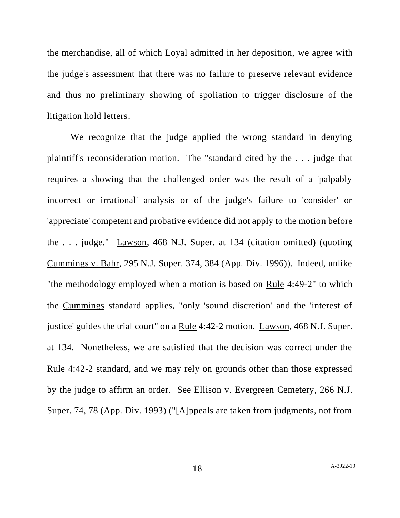the merchandise, all of which Loyal admitted in her deposition, we agree with the judge's assessment that there was no failure to preserve relevant evidence and thus no preliminary showing of spoliation to trigger disclosure of the litigation hold letters.

We recognize that the judge applied the wrong standard in denying plaintiff's reconsideration motion. The "standard cited by the . . . judge that requires a showing that the challenged order was the result of a 'palpably incorrect or irrational' analysis or of the judge's failure to 'consider' or 'appreciate' competent and probative evidence did not apply to the motion before the . . . judge." Lawson, 468 N.J. Super. at 134 (citation omitted) (quoting Cummings v. Bahr, 295 N.J. Super. 374, 384 (App. Div. 1996)). Indeed, unlike "the methodology employed when a motion is based on Rule 4:49-2" to which the Cummings standard applies, "only 'sound discretion' and the 'interest of justice' guides the trial court" on a Rule 4:42-2 motion. Lawson, 468 N.J. Super. at 134. Nonetheless, we are satisfied that the decision was correct under the Rule 4:42-2 standard, and we may rely on grounds other than those expressed by the judge to affirm an order. See Ellison v. Evergreen Cemetery, 266 N.J. Super. 74, 78 (App. Div. 1993) ("[A]ppeals are taken from judgments, not from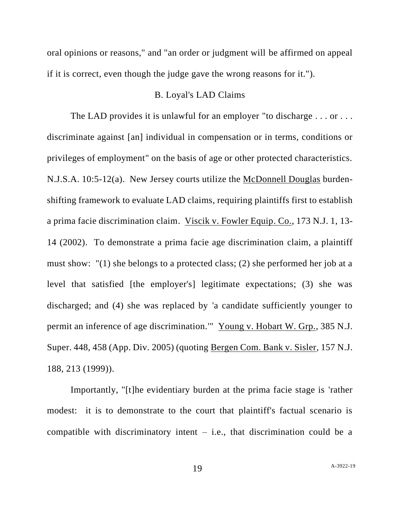oral opinions or reasons," and "an order or judgment will be affirmed on appeal if it is correct, even though the judge gave the wrong reasons for it.").

## B. Loyal's LAD Claims

The LAD provides it is unlawful for an employer "to discharge . . . or . . . discriminate against [an] individual in compensation or in terms, conditions or privileges of employment" on the basis of age or other protected characteristics. N.J.S.A. 10:5-12(a). New Jersey courts utilize the McDonnell Douglas burdenshifting framework to evaluate LAD claims, requiring plaintiffs first to establish a prima facie discrimination claim. Viscik v. Fowler Equip. Co., 173 N.J. 1, 13- 14 (2002). To demonstrate a prima facie age discrimination claim, a plaintiff must show: "(1) she belongs to a protected class; (2) she performed her job at a level that satisfied [the employer's] legitimate expectations; (3) she was discharged; and (4) she was replaced by 'a candidate sufficiently younger to permit an inference of age discrimination.'" Young v. Hobart W. Grp., 385 N.J. Super. 448, 458 (App. Div. 2005) (quoting Bergen Com. Bank v. Sisler, 157 N.J. 188, 213 (1999)).

Importantly, "[t]he evidentiary burden at the prima facie stage is 'rather modest: it is to demonstrate to the court that plaintiff's factual scenario is compatible with discriminatory intent  $-$  i.e., that discrimination could be a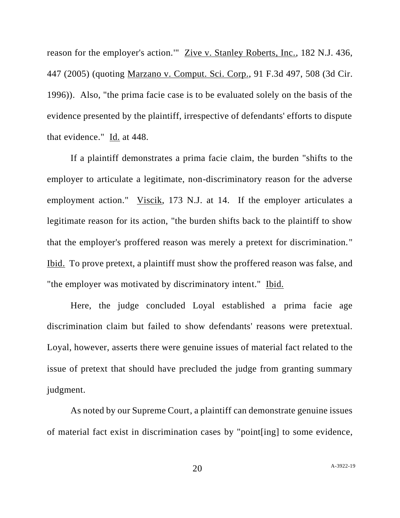reason for the employer's action.'" Zive v. Stanley Roberts, Inc., 182 N.J. 436, 447 (2005) (quoting Marzano v. Comput. Sci. Corp., 91 F.3d 497, 508 (3d Cir. 1996)). Also, "the prima facie case is to be evaluated solely on the basis of the evidence presented by the plaintiff, irrespective of defendants' efforts to dispute that evidence." Id. at 448.

If a plaintiff demonstrates a prima facie claim, the burden "shifts to the employer to articulate a legitimate, non-discriminatory reason for the adverse employment action." Viscik, 173 N.J. at 14. If the employer articulates a legitimate reason for its action, "the burden shifts back to the plaintiff to show that the employer's proffered reason was merely a pretext for discrimination." Ibid. To prove pretext, a plaintiff must show the proffered reason was false, and "the employer was motivated by discriminatory intent." Ibid.

Here, the judge concluded Loyal established a prima facie age discrimination claim but failed to show defendants' reasons were pretextual. Loyal, however, asserts there were genuine issues of material fact related to the issue of pretext that should have precluded the judge from granting summary judgment.

As noted by our Supreme Court, a plaintiff can demonstrate genuine issues of material fact exist in discrimination cases by "point[ing] to some evidence,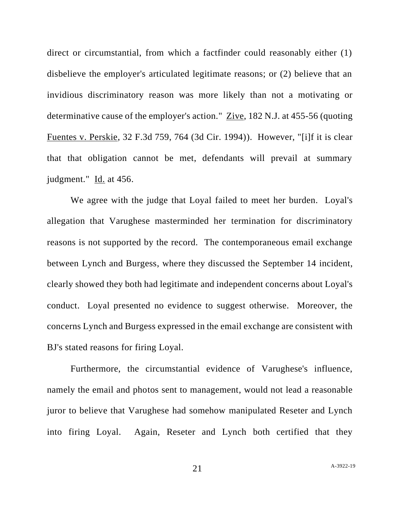direct or circumstantial, from which a factfinder could reasonably either (1) disbelieve the employer's articulated legitimate reasons; or (2) believe that an invidious discriminatory reason was more likely than not a motivating or determinative cause of the employer's action." Zive, 182 N.J. at 455-56 (quoting Fuentes v. Perskie, 32 F.3d 759, 764 (3d Cir. 1994)). However, "[i]f it is clear that that obligation cannot be met, defendants will prevail at summary judgment."  $\underline{Id}$ . at 456.

We agree with the judge that Loyal failed to meet her burden. Loyal's allegation that Varughese masterminded her termination for discriminatory reasons is not supported by the record. The contemporaneous email exchange between Lynch and Burgess, where they discussed the September 14 incident, clearly showed they both had legitimate and independent concerns about Loyal's conduct. Loyal presented no evidence to suggest otherwise. Moreover, the concerns Lynch and Burgess expressed in the email exchange are consistent with BJ's stated reasons for firing Loyal.

Furthermore, the circumstantial evidence of Varughese's influence, namely the email and photos sent to management, would not lead a reasonable juror to believe that Varughese had somehow manipulated Reseter and Lynch into firing Loyal. Again, Reseter and Lynch both certified that they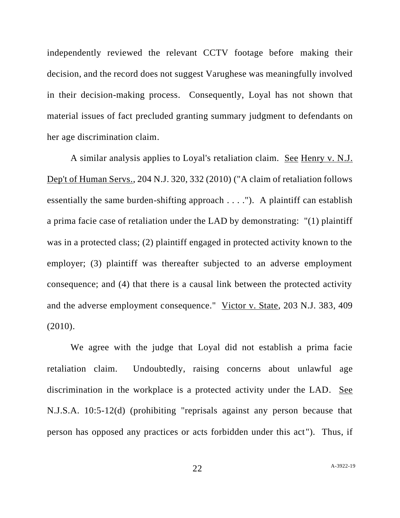independently reviewed the relevant CCTV footage before making their decision, and the record does not suggest Varughese was meaningfully involved in their decision-making process. Consequently, Loyal has not shown that material issues of fact precluded granting summary judgment to defendants on her age discrimination claim.

A similar analysis applies to Loyal's retaliation claim. See Henry v. N.J. Dep't of Human Servs., 204 N.J. 320, 332 (2010) ("A claim of retaliation follows essentially the same burden-shifting approach . . . ."). A plaintiff can establish a prima facie case of retaliation under the LAD by demonstrating: "(1) plaintiff was in a protected class; (2) plaintiff engaged in protected activity known to the employer; (3) plaintiff was thereafter subjected to an adverse employment consequence; and (4) that there is a causal link between the protected activity and the adverse employment consequence." Victor v. State, 203 N.J. 383, 409 (2010).

We agree with the judge that Loyal did not establish a prima facie retaliation claim. Undoubtedly, raising concerns about unlawful age discrimination in the workplace is a protected activity under the LAD. See N.J.S.A. 10:5-12(d) (prohibiting "reprisals against any person because that person has opposed any practices or acts forbidden under this act"). Thus, if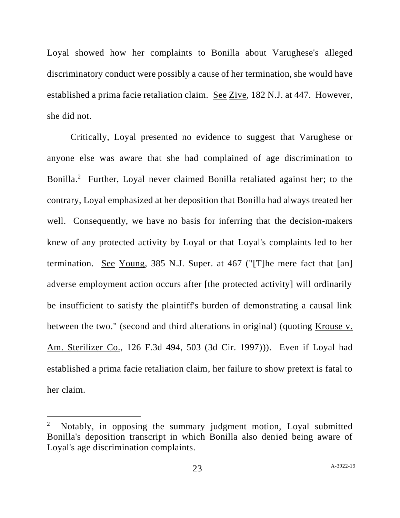Loyal showed how her complaints to Bonilla about Varughese's alleged discriminatory conduct were possibly a cause of her termination, she would have established a prima facie retaliation claim. See Zive, 182 N.J. at 447. However, she did not.

Critically, Loyal presented no evidence to suggest that Varughese or anyone else was aware that she had complained of age discrimination to Bonilla.<sup>2</sup> Further, Loyal never claimed Bonilla retaliated against her; to the contrary, Loyal emphasized at her deposition that Bonilla had always treated her well. Consequently, we have no basis for inferring that the decision-makers knew of any protected activity by Loyal or that Loyal's complaints led to her termination. See Young, 385 N.J. Super. at 467 ("[T]he mere fact that [an] adverse employment action occurs after [the protected activity] will ordinarily be insufficient to satisfy the plaintiff's burden of demonstrating a causal link between the two." (second and third alterations in original) (quoting <u>Krouse v.</u> Am. Sterilizer Co., 126 F.3d 494, 503 (3d Cir. 1997))). Even if Loyal had established a prima facie retaliation claim, her failure to show pretext is fatal to her claim.

<sup>2</sup> Notably, in opposing the summary judgment motion, Loyal submitted Bonilla's deposition transcript in which Bonilla also denied being aware of Loyal's age discrimination complaints.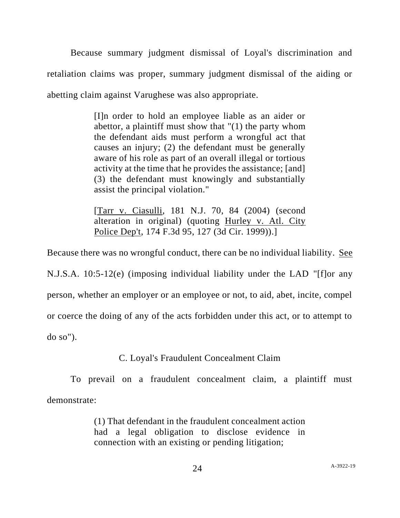Because summary judgment dismissal of Loyal's discrimination and retaliation claims was proper, summary judgment dismissal of the aiding or abetting claim against Varughese was also appropriate.

> [I]n order to hold an employee liable as an aider or abettor, a plaintiff must show that "(1) the party whom the defendant aids must perform a wrongful act that causes an injury; (2) the defendant must be generally aware of his role as part of an overall illegal or tortious activity at the time that he provides the assistance; [and] (3) the defendant must knowingly and substantially assist the principal violation."

> [Tarr v. Ciasulli, 181 N.J. 70, 84 (2004) (second alteration in original) (quoting Hurley v. Atl. City Police Dep't, 174 F.3d 95, 127 (3d Cir. 1999)).]

Because there was no wrongful conduct, there can be no individual liability. See N.J.S.A. 10:5-12(e) (imposing individual liability under the LAD "[f]or any person, whether an employer or an employee or not, to aid, abet, incite, compel or coerce the doing of any of the acts forbidden under this act, or to attempt to do so").

# C. Loyal's Fraudulent Concealment Claim

To prevail on a fraudulent concealment claim, a plaintiff must demonstrate:

> (1) That defendant in the fraudulent concealment action had a legal obligation to disclose evidence in connection with an existing or pending litigation;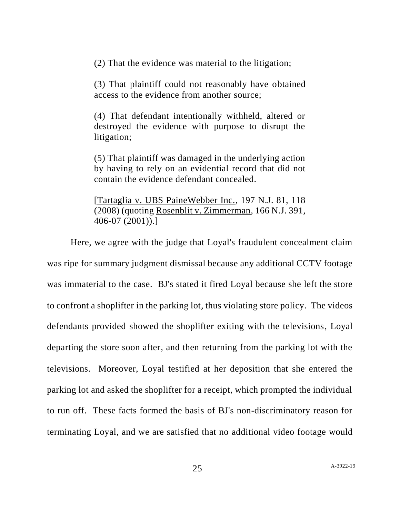(2) That the evidence was material to the litigation;

(3) That plaintiff could not reasonably have obtained access to the evidence from another source;

(4) That defendant intentionally withheld, altered or destroyed the evidence with purpose to disrupt the litigation;

(5) That plaintiff was damaged in the underlying action by having to rely on an evidential record that did not contain the evidence defendant concealed.

[Tartaglia v. UBS PaineWebber Inc., 197 N.J. 81, 118 (2008) (quoting Rosenblit v. Zimmerman, 166 N.J. 391, 406-07 (2001)).]

Here, we agree with the judge that Loyal's fraudulent concealment claim was ripe for summary judgment dismissal because any additional CCTV footage was immaterial to the case. BJ's stated it fired Loyal because she left the store to confront a shoplifter in the parking lot, thus violating store policy. The videos defendants provided showed the shoplifter exiting with the televisions, Loyal departing the store soon after, and then returning from the parking lot with the televisions. Moreover, Loyal testified at her deposition that she entered the parking lot and asked the shoplifter for a receipt, which prompted the individual to run off. These facts formed the basis of BJ's non-discriminatory reason for terminating Loyal, and we are satisfied that no additional video footage would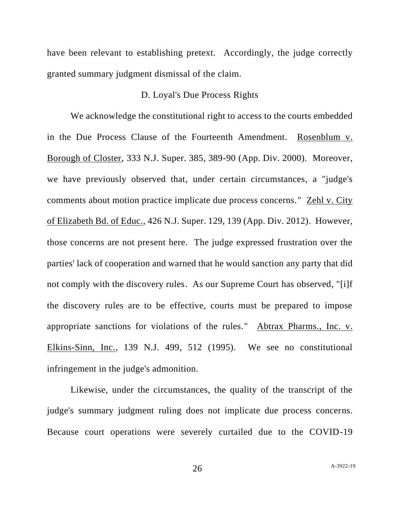have been relevant to establishing pretext. Accordingly, the judge correctly granted summary judgment dismissal of the claim.

### D. Loyal's Due Process Rights

We acknowledge the constitutional right to access to the courts embedded in the Due Process Clause of the Fourteenth Amendment. Rosenblum v. Borough of Closter, 333 N.J. Super. 385, 389-90 (App. Div. 2000). Moreover, we have previously observed that, under certain circumstances, a "judge's comments about motion practice implicate due process concerns." Zehl v. City of Elizabeth Bd. of Educ., 426 N.J. Super. 129, 139 (App. Div. 2012). However, those concerns are not present here. The judge expressed frustration over the parties' lack of cooperation and warned that he would sanction any party that did not comply with the discovery rules. As our Supreme Court has observed, "[i]f the discovery rules are to be effective, courts must be prepared to impose appropriate sanctions for violations of the rules." Abtrax Pharms., Inc. v. Elkins-Sinn, Inc., 139 N.J. 499, 512 (1995). We see no constitutional infringement in the judge's admonition.

Likewise, under the circumstances, the quality of the transcript of the judge's summary judgment ruling does not implicate due process concerns. Because court operations were severely curtailed due to the COVID-19